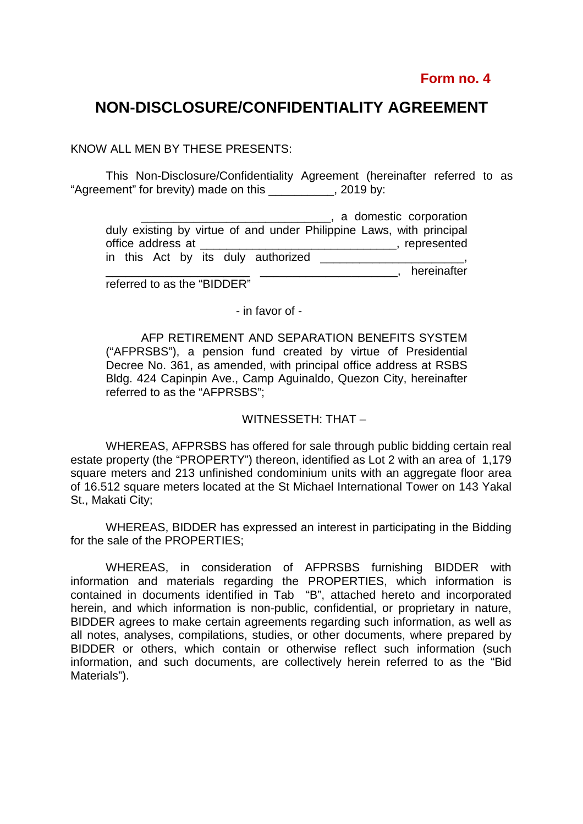## **NON-DISCLOSURE/CONFIDENTIALITY AGREEMENT**

KNOW ALL MEN BY THESE PRESENTS:

 This Non-Disclosure/Confidentiality Agreement (hereinafter referred to as "Agreement" for brevity) made on this \_\_\_\_\_\_\_\_\_\_, 2019 by:

|                   |  |  |                                    | , a domestic corporation                                             |             |
|-------------------|--|--|------------------------------------|----------------------------------------------------------------------|-------------|
|                   |  |  |                                    | duly existing by virtue of and under Philippine Laws, with principal |             |
| office address at |  |  |                                    |                                                                      | represented |
|                   |  |  | in this Act by its duly authorized |                                                                      |             |
|                   |  |  |                                    |                                                                      | hereinafter |

referred to as the "BIDDER"

- in favor of -

AFP RETIREMENT AND SEPARATION BENEFITS SYSTEM ("AFPRSBS"), a pension fund created by virtue of Presidential Decree No. 361, as amended, with principal office address at RSBS Bldg. 424 Capinpin Ave., Camp Aguinaldo, Quezon City, hereinafter referred to as the "AFPRSBS";

## WITNESSETH: THAT –

WHEREAS, AFPRSBS has offered for sale through public bidding certain real estate property (the "PROPERTY") thereon, identified as Lot 2 with an area of 1,179 square meters and 213 unfinished condominium units with an aggregate floor area of 16.512 square meters located at the St Michael International Tower on 143 Yakal St., Makati City;

WHEREAS, BIDDER has expressed an interest in participating in the Bidding for the sale of the PROPERTIES;

WHEREAS, in consideration of AFPRSBS furnishing BIDDER with information and materials regarding the PROPERTIES, which information is contained in documents identified in Tab "B", attached hereto and incorporated herein, and which information is non-public, confidential, or proprietary in nature, BIDDER agrees to make certain agreements regarding such information, as well as all notes, analyses, compilations, studies, or other documents, where prepared by BIDDER or others, which contain or otherwise reflect such information (such information, and such documents, are collectively herein referred to as the "Bid Materials").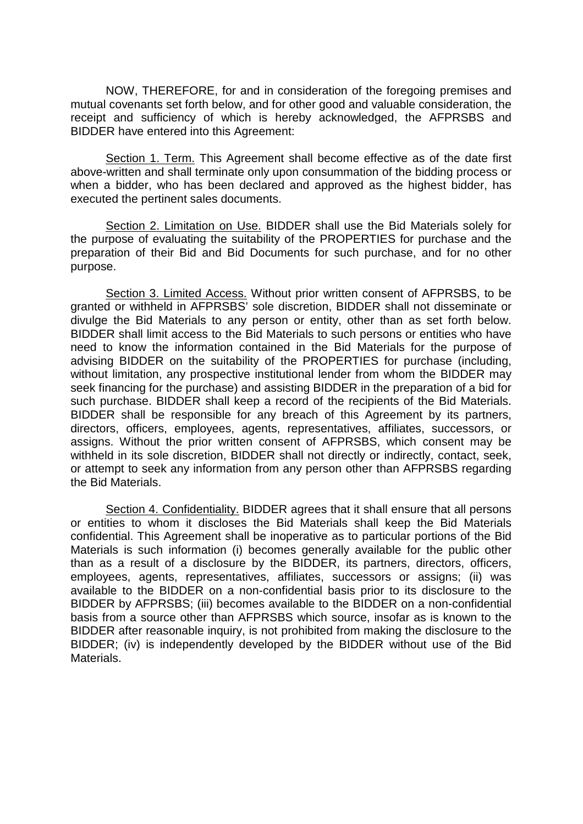NOW, THEREFORE, for and in consideration of the foregoing premises and mutual covenants set forth below, and for other good and valuable consideration, the receipt and sufficiency of which is hereby acknowledged, the AFPRSBS and BIDDER have entered into this Agreement:

Section 1. Term. This Agreement shall become effective as of the date first above-written and shall terminate only upon consummation of the bidding process or when a bidder, who has been declared and approved as the highest bidder, has executed the pertinent sales documents.

Section 2. Limitation on Use. BIDDER shall use the Bid Materials solely for the purpose of evaluating the suitability of the PROPERTIES for purchase and the preparation of their Bid and Bid Documents for such purchase, and for no other purpose.

Section 3. Limited Access. Without prior written consent of AFPRSBS, to be granted or withheld in AFPRSBS' sole discretion, BIDDER shall not disseminate or divulge the Bid Materials to any person or entity, other than as set forth below. BIDDER shall limit access to the Bid Materials to such persons or entities who have need to know the information contained in the Bid Materials for the purpose of advising BIDDER on the suitability of the PROPERTIES for purchase (including, without limitation, any prospective institutional lender from whom the BIDDER may seek financing for the purchase) and assisting BIDDER in the preparation of a bid for such purchase. BIDDER shall keep a record of the recipients of the Bid Materials. BIDDER shall be responsible for any breach of this Agreement by its partners, directors, officers, employees, agents, representatives, affiliates, successors, or assigns. Without the prior written consent of AFPRSBS, which consent may be withheld in its sole discretion, BIDDER shall not directly or indirectly, contact, seek, or attempt to seek any information from any person other than AFPRSBS regarding the Bid Materials.

Section 4. Confidentiality. BIDDER agrees that it shall ensure that all persons or entities to whom it discloses the Bid Materials shall keep the Bid Materials confidential. This Agreement shall be inoperative as to particular portions of the Bid Materials is such information (i) becomes generally available for the public other than as a result of a disclosure by the BIDDER, its partners, directors, officers, employees, agents, representatives, affiliates, successors or assigns; (ii) was available to the BIDDER on a non-confidential basis prior to its disclosure to the BIDDER by AFPRSBS; (iii) becomes available to the BIDDER on a non-confidential basis from a source other than AFPRSBS which source, insofar as is known to the BIDDER after reasonable inquiry, is not prohibited from making the disclosure to the BIDDER; (iv) is independently developed by the BIDDER without use of the Bid Materials.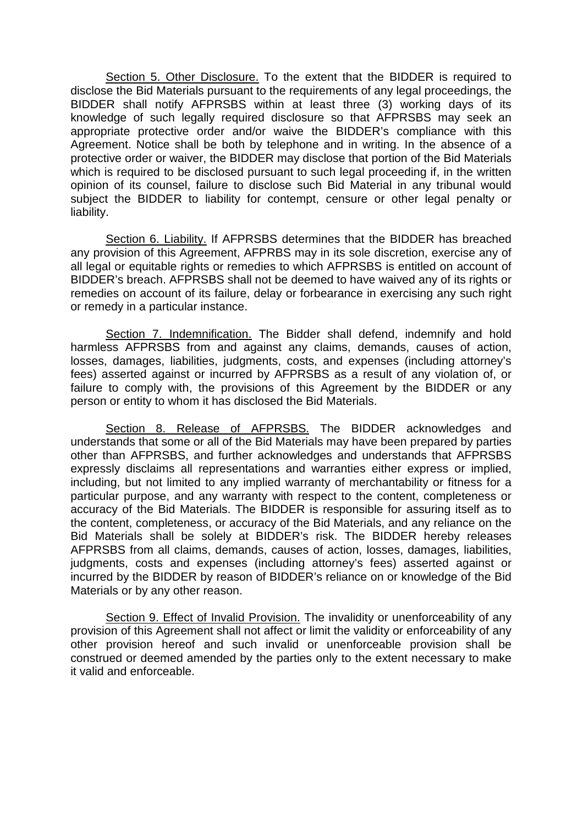Section 5. Other Disclosure. To the extent that the BIDDER is required to disclose the Bid Materials pursuant to the requirements of any legal proceedings, the BIDDER shall notify AFPRSBS within at least three (3) working days of its knowledge of such legally required disclosure so that AFPRSBS may seek an appropriate protective order and/or waive the BIDDER's compliance with this Agreement. Notice shall be both by telephone and in writing. In the absence of a protective order or waiver, the BIDDER may disclose that portion of the Bid Materials which is required to be disclosed pursuant to such legal proceeding if, in the written opinion of its counsel, failure to disclose such Bid Material in any tribunal would subject the BIDDER to liability for contempt, censure or other legal penalty or liability.

Section 6. Liability. If AFPRSBS determines that the BIDDER has breached any provision of this Agreement, AFPRBS may in its sole discretion, exercise any of all legal or equitable rights or remedies to which AFPRSBS is entitled on account of BIDDER's breach. AFPRSBS shall not be deemed to have waived any of its rights or remedies on account of its failure, delay or forbearance in exercising any such right or remedy in a particular instance.

Section 7. Indemnification. The Bidder shall defend, indemnify and hold harmless AFPRSBS from and against any claims, demands, causes of action, losses, damages, liabilities, judgments, costs, and expenses (including attorney's fees) asserted against or incurred by AFPRSBS as a result of any violation of, or failure to comply with, the provisions of this Agreement by the BIDDER or any person or entity to whom it has disclosed the Bid Materials.

Section 8. Release of AFPRSBS. The BIDDER acknowledges and understands that some or all of the Bid Materials may have been prepared by parties other than AFPRSBS, and further acknowledges and understands that AFPRSBS expressly disclaims all representations and warranties either express or implied, including, but not limited to any implied warranty of merchantability or fitness for a particular purpose, and any warranty with respect to the content, completeness or accuracy of the Bid Materials. The BIDDER is responsible for assuring itself as to the content, completeness, or accuracy of the Bid Materials, and any reliance on the Bid Materials shall be solely at BIDDER's risk. The BIDDER hereby releases AFPRSBS from all claims, demands, causes of action, losses, damages, liabilities, judgments, costs and expenses (including attorney's fees) asserted against or incurred by the BIDDER by reason of BIDDER's reliance on or knowledge of the Bid Materials or by any other reason.

Section 9. Effect of Invalid Provision. The invalidity or unenforceability of any provision of this Agreement shall not affect or limit the validity or enforceability of any other provision hereof and such invalid or unenforceable provision shall be construed or deemed amended by the parties only to the extent necessary to make it valid and enforceable.